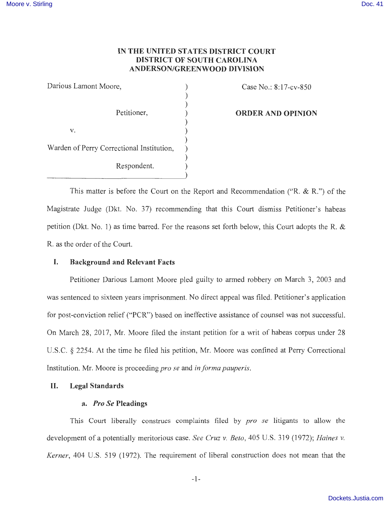# **IN THE UNITED STATES DISTRICT COURT DISTRICT OF SOUTH CAROLINA ANDERSON/GREENWOOD DIVISION**

Darious Lamont Moore, (1988) ) ) Petitioner, )  $V.$  ) ) Warden of Perry Correctional Institution, ) ) Respondent.

Case No.: 8:17-cv-850

#### **ORDER AND OPINION**

This matter is before the Court on the Report and Recommendation ("R. & R.") of the Magistrate Judge (Dkt. No. 37) recommending that this Court dismiss Petitioner's habeas petition (Dkt. No. 1) as time barred. For the reasons set forth below, this Court adopts the R. & R. as the order of the Court.

# **I. Background and Relevant Facts**

Petitioner Darious Lamont Moore pied guilty to armed robbery on March 3, 2003 and was sentenced to sixteen years imprisonment. No direct appeal was filed. Petitioner's application for post-conviction relief ("PCR") based on ineffective assistance of counsel was not successful. On March 28, 2017, Mr. Moore filed the instant petition for a writ of habeas corpus under 28 U.S.C. § 2254. At the time he filed his petition, Mr. Moore was confined at Perry Correctional Institution. Mr. Moore is proceeding *pro se* and *in forma pauperis.* 

# **II. Legal Standards**

# **a.** *Pro Se* **Pleadings**

This Court liberally construes complaints filed by *pro se* litigants to allow the development of a potentially meritorious case. *See Cruz v. Beto,* 405 U.S. 319 (1972); *Haines v. Kerner,* 404 U.S. 519 (1972). The requirement of liberal construction does not mean that the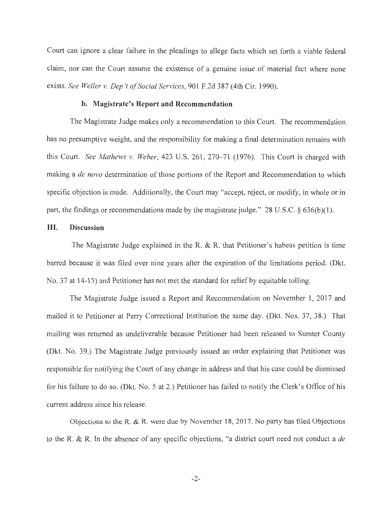Court can ignore a clear failure in the pleadings to allege facts which set forth a viable federal claim, nor can the Court assume the existence of a genuine issue of material fact where none exists. *See Weller v. Dep 't of Social Services,* 901 F.2d 387 (4th Cir. 1990).

#### **b. Magistrate's Report and Recommendation**

The Magistrate Judge makes only a recommendation to this Court. The recommendation has no presumptive weight, and the responsibility for making a final determination remains with this Court. *See Mathews v. Weber*, 423 U.S. 261, 270–71 (1976). This Court is charged with making a *de novo* determination of those portions of the Report and Recommendation to which specific objection is made. Additionally, the Court may "accept, reject, or modify, in whole or in part, the findings or recommendations made by the magistrate judge." 28 U.S.C. § 636(b)(1).

#### III. **Discussion**

The Magistrate Judge explained in the R. & R. that Petitioner's habeas petition is time barred because it was filed over nine years after the expiration of the limitations period. (Dkt. No. 37 at 14-15) and Petitioner has not met the standard for relief by equitable tolling.

The Magistrate Judge issued a Report and Recommendation on November 1, 2017 and mailed it to Petitioner at Perry Correctional Institution the same day. (Dkt. Nos. 37, 38.) That mailing was returned as undeliverable because Petitioner had been released to Sumter County (Dkt. No. 39.) The Magistrate Judge previously issued an order explaining that Petitioner was responsible for notifying the Court of any change in address and that his case could be dismissed for his failure to do so. (Dkt. No. 5 at 2.) Petitioner has failed to notify the Clerk's Office of his current address since his release.

Objections to the R. & R. were due by November 18, 2017. No party has filed Objections to the R. & R. In the absence of any specific objections, "a district court need not conduct a *de*